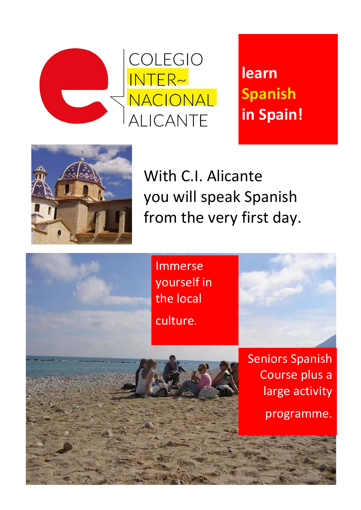

**learn Spanish in Spain!**



With C.I. Alicante you will speak Spanish from the very first day.

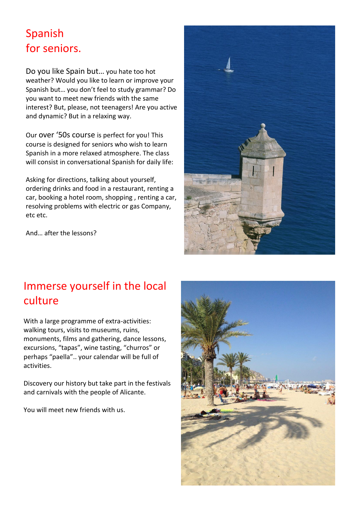### Spanish for seniors.

Do you like Spain but… you hate too hot weather? Would you like to learn or improve your Spanish but… you don't feel to study grammar? Do you want to meet new friends with the same interest? But, please, not teenagers! Are you active and dynamic? But in a relaxing way.

Our over '50s course is perfect for you! This course is designed for seniors who wish to learn Spanish in a more relaxed atmosphere. The class will consist in conversational Spanish for daily life:

Asking for directions, talking about yourself, ordering drinks and food in a restaurant, renting a car, booking a hotel room, shopping , renting a car, resolving problems with electric or gas Company, etc etc.

And… after the lessons?



## Immerse yourself in the local culture

With a large programme of extra-activities: walking tours, visits to museums, ruins, monuments, films and gathering, dance lessons, excursions, "tapas", wine tasting, "churros" or perhaps "paella".. your calendar will be full of activities.

Discovery our history but take part in the festivals and carnivals with the people of Alicante.

You will meet new friends with us.

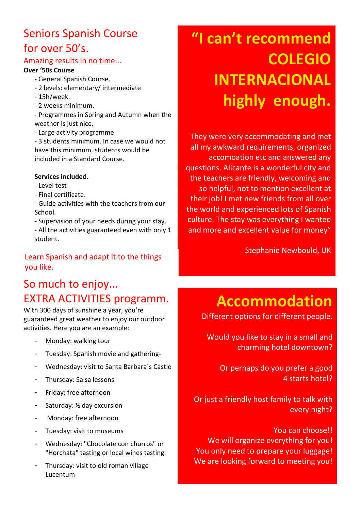## Seniors Spanish Course for over 50's.

#### Amazing results in no time...

#### **Over '50s Course**

- General Spanish Course.
- 2 levels: elementary/ intermediate
- 15h/week.
- 2 weeks minimum.

- Programmes in Spring and Autumn when the weather is just nice.

- Large activity programme.

- 3 students minimum. In case we would not have this minimum, students would be included in a Standard Course.

#### **Services included.**

- Level test
- Final certificate.
- Guide activities with the teachers from our School.
- Supervision of your needs during your stay.
- All the activities guaranteed even with only 1 student.

#### Learn Spanish and adapt it to the things you like.

## So much to enjoy... EXTRA ACTIVITIES programm.

With 300 days of sunshine a year, you're guaranteed great weather to enjoy our outdoor activities. Here you are an example:

- Monday: walking tour
- Tuesday: Spanish movie and gathering-
- Wednesday: visit to Santa Barbara´s Castle
- Thursday: Salsa lessons
- Friday: free afternoon
- Saturday: ½ day excursion
- Monday: free afternoon
- Tuesday: visit to museums
- Wednesday: "Chocolate con churros" or "Horchata" tasting or local wines tasting.
- Thursday: visit to old roman village Lucentum

# **"I can't recommend COLEGIO INTERNACIONAL highly enough.**

. They were very accommodating and met all my awkward requirements, organized accomoation etc and answered any questions. Alicante is a wonderful city and the teachers are friendly, welcoming and so helpful, not to mention excellent at their job! I met new friends from all over the world and experienced lots of Spanish culture. The stay was everything I wanted and more and excellent value for money"

Stephanie Newbould, UK

## **Accommodation**

Different options for different people.

Would you like to stay in a small and charming hotel downtown?

Or perhaps do you prefer a good 4 starts hotel?

Or just a friendly host family to talk with every night?

You can choose!! We will organize everything for you! You only need to prepare your luggage! We are looking forward to meeting you!